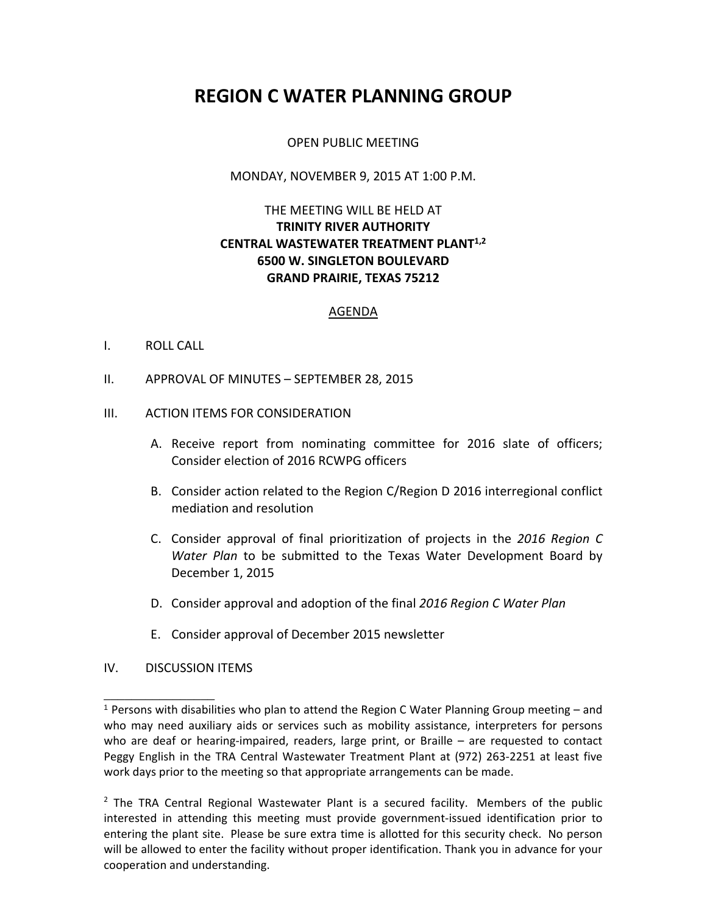# **REGION C WATER PLANNING GROUP**

# OPEN PUBLIC MEETING

#### MONDAY, NOVEMBER 9, 2015 AT 1:00 P.M.

# THE MEETING WILL BE HELD AT **TRINITY RIVER AUTHORITY CENTRAL WASTEWATER TREATMENT PLANT1,2 6500 W. SINGLETON BOULEVARD GRAND PRAIRIE, TEXAS 75212**

#### AGENDA

## I. ROLL CALL

II. APPROVAL OF MINUTES – SEPTEMBER 28, 2015

## III. ACTION ITEMS FOR CONSIDERATION

- A. Receive report from nominating committee for 2016 slate of officers; Consider election of 2016 RCWPG officers
- B. Consider action related to the Region C/Region D 2016 interregional conflict mediation and resolution
- C. Consider approval of final prioritization of projects in the *2016 Region C Water Plan* to be submitted to the Texas Water Development Board by December 1, 2015
- D. Consider approval and adoption of the final *2016 Region C Water Plan*
- E. Consider approval of December 2015 newsletter

#### IV. DISCUSSION ITEMS

\_\_\_\_\_\_\_\_\_\_\_\_\_\_\_\_

<sup>&</sup>lt;sup>1</sup> Persons with disabilities who plan to attend the Region C Water Planning Group meeting – and who may need auxiliary aids or services such as mobility assistance, interpreters for persons who are deaf or hearing-impaired, readers, large print, or Braille – are requested to contact Peggy English in the TRA Central Wastewater Treatment Plant at (972) 263-2251 at least five work days prior to the meeting so that appropriate arrangements can be made.

 $<sup>2</sup>$  The TRA Central Regional Wastewater Plant is a secured facility. Members of the public</sup> interested in attending this meeting must provide government-issued identification prior to entering the plant site. Please be sure extra time is allotted for this security check. No person will be allowed to enter the facility without proper identification. Thank you in advance for your cooperation and understanding.